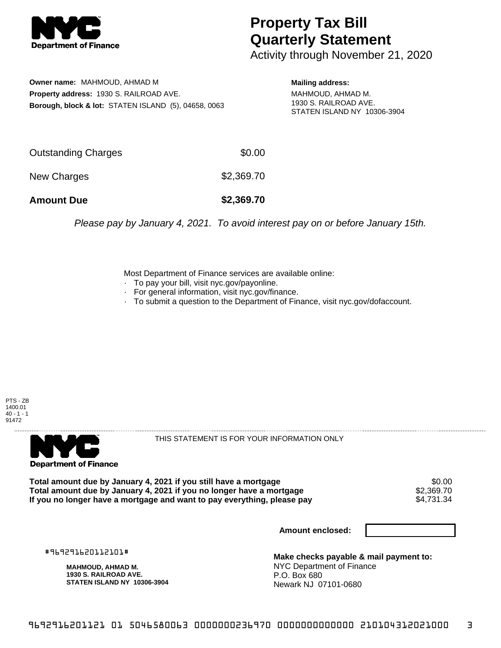

## **Property Tax Bill Quarterly Statement**

Activity through November 21, 2020

**Owner name:** MAHMOUD, AHMAD M **Property address:** 1930 S. RAILROAD AVE. **Borough, block & lot:** STATEN ISLAND (5), 04658, 0063 **Mailing address:**

MAHMOUD, AHMAD M. 1930 S. RAILROAD AVE. STATEN ISLAND NY 10306-3904

| <b>Amount Due</b>   | \$2,369.70 |
|---------------------|------------|
| New Charges         | \$2,369.70 |
| Outstanding Charges | \$0.00     |

Please pay by January 4, 2021. To avoid interest pay on or before January 15th.

Most Department of Finance services are available online:

- · To pay your bill, visit nyc.gov/payonline.
- For general information, visit nyc.gov/finance.
- · To submit a question to the Department of Finance, visit nyc.gov/dofaccount.





THIS STATEMENT IS FOR YOUR INFORMATION ONLY

Total amount due by January 4, 2021 if you still have a mortgage \$0.00<br>Total amount due by January 4, 2021 if you no longer have a mortgage \$2.369.70 **Total amount due by January 4, 2021 if you no longer have a mortgage \$2,369.70<br>If you no longer have a mortgage and want to pay everything, please pay \$4,731.34** If you no longer have a mortgage and want to pay everything, please pay

**Amount enclosed:**

#969291620112101#

**MAHMOUD, AHMAD M. 1930 S. RAILROAD AVE. STATEN ISLAND NY 10306-3904**

**Make checks payable & mail payment to:** NYC Department of Finance P.O. Box 680 Newark NJ 07101-0680